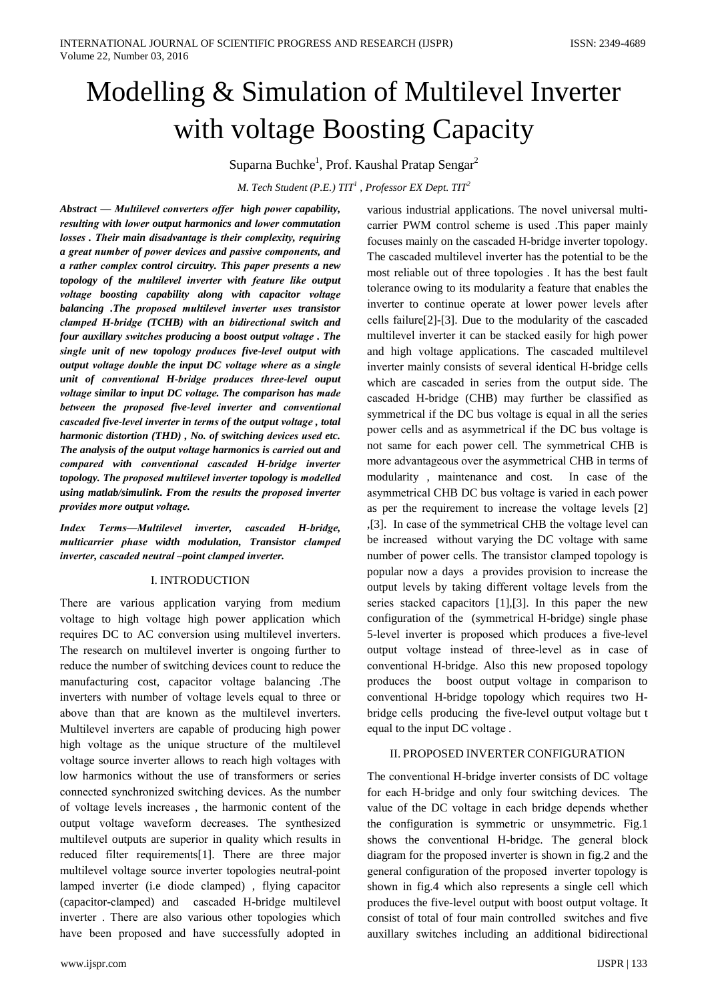# Modelling & Simulation of Multilevel Inverter with voltage Boosting Capacity

Suparna Buchke<sup>1</sup>, Prof. Kaushal Pratap Sengar<sup>2</sup>

M. Tech Student (P.E.) TIT<sup>1</sup>, Professor EX Dept. TIT<sup>2</sup>

Abstract — Multilevel converters offer high power capability, resulting with lower output harmonics and lower commutation losses. Their main disadvantage is their complexity, requiring a great number of power devices and passive components, and a rather complex control circuitry. This paper presents a new topology of the multilevel inverter with feature like output voltage boosting capability along with capacitor voltage balancing .The proposed multilevel inverter uses transistor clamped H-bridge (TCHB) with an bidirectional switch and four auxillary switches producing a boost output voltage. The single unit of new topology produces five-level output with output voltage double the input DC voltage where as a single unit of conventional H-bridge produces three-level ouput voltage similar to input DC voltage. The comparison has made between the proposed five-level inverter and conventional cascaded five-level inverter in terms of the output voltage, total harmonic distortion (THD), No. of switching devices used etc. The analysis of the output voltage harmonics is carried out and compared with conventional cascaded H-bridge inverter topology. The proposed multilevel inverter topology is modelled using matlab/simulink. From the results the proposed inverter provides more output voltage.

Index Terms-Multilevel inverter, cascaded H-bridge, multicarrier phase width modulation, Transistor clamped inverter, cascaded neutral -point clamped inverter.

#### **I. INTRODUCTION**

There are various application varying from medium voltage to high voltage high power application which requires DC to AC conversion using multilevel inverters. The research on multilevel inverter is ongoing further to reduce the number of switching devices count to reduce the manufacturing cost, capacitor voltage balancing .The inverters with number of voltage levels equal to three or above than that are known as the multilevel inverters. Multilevel inverters are capable of producing high power high voltage as the unique structure of the multilevel voltage source inverter allows to reach high voltages with low harmonics without the use of transformers or series connected synchronized switching devices. As the number of voltage levels increases, the harmonic content of the output voltage waveform decreases. The synthesized multilevel outputs are superior in quality which results in reduced filter requirements[1]. There are three major multilevel voltage source inverter topologies neutral-point lamped inverter (i.e diode clamped), flying capacitor (capacitor-clamped) and cascaded H-bridge multilevel inverter. There are also various other topologies which have been proposed and have successfully adopted in

www.ijspr.com

various industrial applications. The novel universal multicarrier PWM control scheme is used .This paper mainly focuses mainly on the cascaded H-bridge inverter topology. The cascaded multilevel inverter has the potential to be the most reliable out of three topologies. It has the best fault tolerance owing to its modularity a feature that enables the inverter to continue operate at lower power levels after cells failure<sup>[2]</sup>-[3]. Due to the modularity of the cascaded multilevel inverter it can be stacked easily for high power and high voltage applications. The cascaded multilevel inverter mainly consists of several identical H-bridge cells which are cascaded in series from the output side. The cascaded H-bridge (CHB) may further be classified as symmetrical if the DC bus voltage is equal in all the series power cells and as asymmetrical if the DC bus voltage is not same for each power cell. The symmetrical CHB is more advantageous over the asymmetrical CHB in terms of modularity, maintenance and cost. In case of the asymmetrical CHB DC bus voltage is varied in each power as per the requirement to increase the voltage levels [2] ,[3]. In case of the symmetrical CHB the voltage level can be increased without varying the DC voltage with same number of power cells. The transistor clamped topology is popular now a days a provides provision to increase the output levels by taking different voltage levels from the series stacked capacitors  $[1]$ ,  $[3]$ . In this paper the new configuration of the (symmetrical H-bridge) single phase 5-level inverter is proposed which produces a five-level output voltage instead of three-level as in case of conventional H-bridge. Also this new proposed topology produces the boost output voltage in comparison to conventional H-bridge topology which requires two Hbridge cells producing the five-level output voltage but t equal to the input DC voltage.

### II. PROPOSED INVERTER CONFIGURATION

The conventional H-bridge inverter consists of DC voltage for each H-bridge and only four switching devices. The value of the DC voltage in each bridge depends whether the configuration is symmetric or unsymmetric. Fig.1 shows the conventional H-bridge. The general block diagram for the proposed inverter is shown in fig.2 and the general configuration of the proposed inverter topology is shown in fig.4 which also represents a single cell which produces the five-level output with boost output voltage. It consist of total of four main controlled switches and five auxillary switches including an additional bidirectional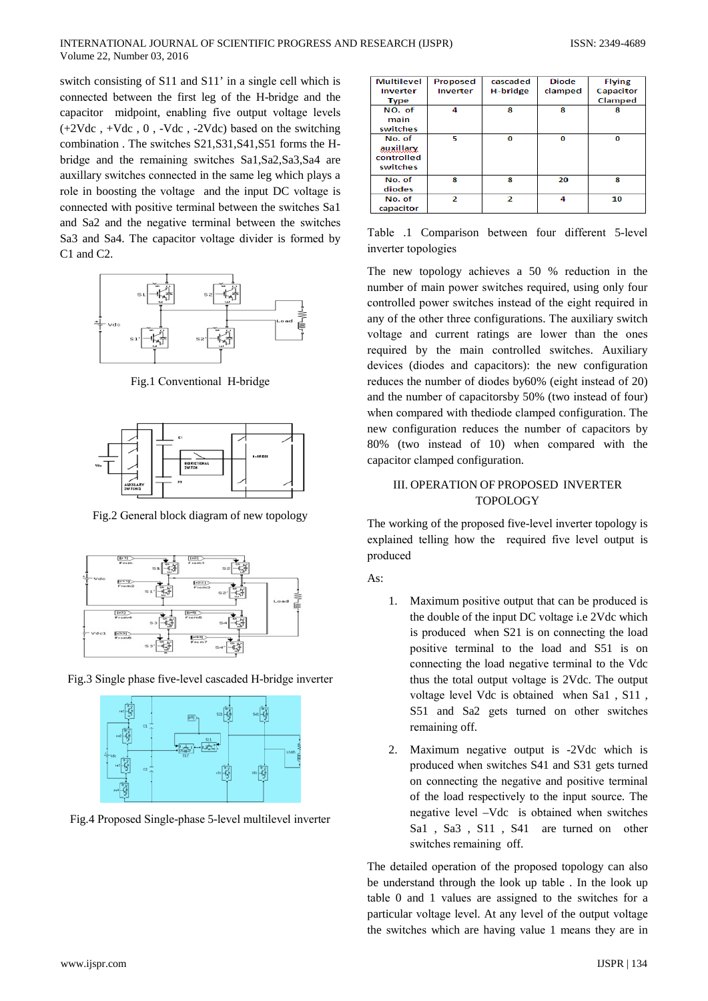switch consisting of S11 and S11' in a single cell which is connected between the first leg of the H-bridge and the capacitor midpoint, enabling five output voltage levels  $(+2Vdc, +Vdc, 0, -Vdc, -2Vdc)$  based on the switching combination. The switches S21, S31, S41, S51 forms the Hbridge and the remaining switches Sa1, Sa2, Sa3, Sa4 are auxillary switches connected in the same leg which plays a role in boosting the voltage and the input DC voltage is connected with positive terminal between the switches Sa1 and Sa2 and the negative terminal between the switches Sa3 and Sa4. The capacitor voltage divider is formed by C1 and C2.



Fig.1 Conventional H-bridge



Fig.2 General block diagram of new topology



Fig.3 Single phase five-level cascaded H-bridge inverter



Fig.4 Proposed Single-phase 5-level multilevel inverter

| <b>Multilevel</b> | Proposed | cascaded                 | <b>Diode</b> | <b>Flying</b> |
|-------------------|----------|--------------------------|--------------|---------------|
| Inverter          | Inverter | H-bridge                 | clamped      | Capacitor     |
| Type              |          |                          |              | Clamped       |
| NO. of            | 4        | я                        | я            | я             |
| main              |          |                          |              |               |
| switches          |          |                          |              |               |
| No. of            | 5        | 0                        | 0            | o             |
| auxillary         |          |                          |              |               |
| controlled        |          |                          |              |               |
| switches          |          |                          |              |               |
| No. of            | R        | 8                        | 20           | R             |
| diodes            |          |                          |              |               |
| No. of            | 2        | $\overline{\phantom{a}}$ | 4            | 10            |
| capacitor         |          |                          |              |               |

Table .1 Comparison between four different 5-level inverter topologies

The new topology achieves a 50 % reduction in the number of main power switches required, using only four controlled power switches instead of the eight required in any of the other three configurations. The auxiliary switch voltage and current ratings are lower than the ones required by the main controlled switches. Auxiliary devices (diodes and capacitors): the new configuration reduces the number of diodes by 60% (eight instead of 20) and the number of capacitorsby 50% (two instead of four) when compared with the diode clamped configuration. The new configuration reduces the number of capacitors by 80% (two instead of 10) when compared with the capacitor clamped configuration.

## III. OPERATION OF PROPOSED INVERTER **TOPOLOGY**

The working of the proposed five-level inverter topology is explained telling how the required five level output is produced

 $As<sup>2</sup>$ 

- 1. Maximum positive output that can be produced is the double of the input DC voltage i.e 2Vdc which is produced when S21 is on connecting the load positive terminal to the load and S51 is on connecting the load negative terminal to the Vdc thus the total output voltage is 2Vdc. The output voltage level Vdc is obtained when Sa1, S11, S51 and Sa2 gets turned on other switches remaining off.
- 2. Maximum negative output is -2Vdc which is produced when switches S41 and S31 gets turned on connecting the negative and positive terminal of the load respectively to the input source. The negative level -Vdc is obtained when switches Sa1, Sa3, S11, S41 are turned on other switches remaining off.

The detailed operation of the proposed topology can also be understand through the look up table. In the look up table 0 and 1 values are assigned to the switches for a particular voltage level. At any level of the output voltage the switches which are having value 1 means they are in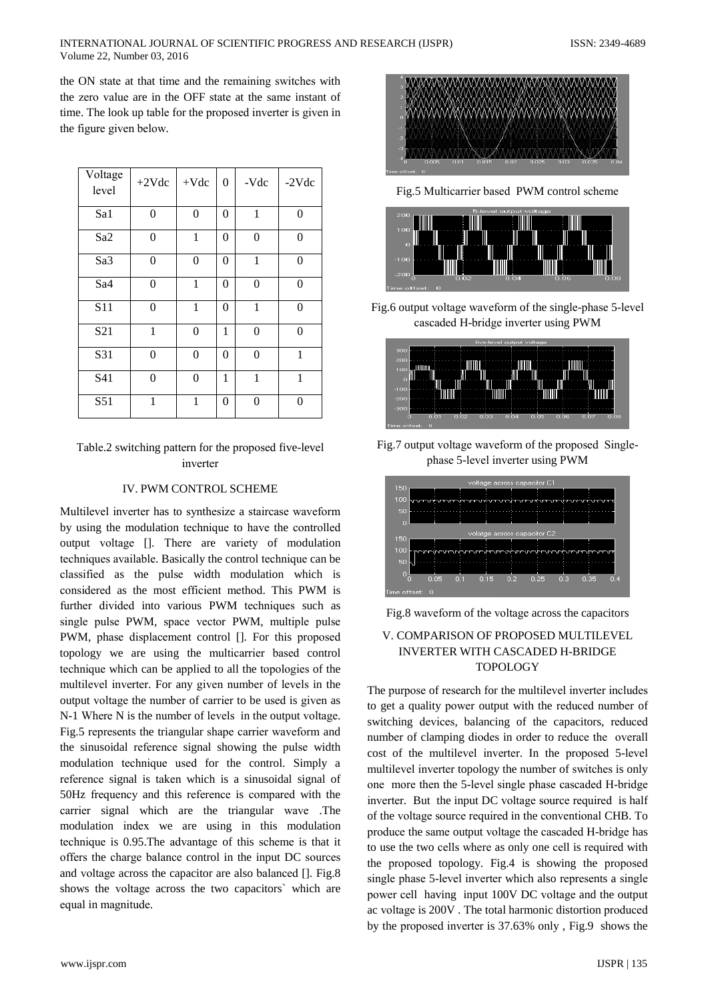the ON state at that time and the remaining switches with the zero value are in the OFF state at the same instant of time. The look up table for the proposed inverter is given in the figure given below.

| Voltage<br>level | $+2Vdc$        | $+Vdc$           | 0        | -Vdc           | $-2Vdc$        |
|------------------|----------------|------------------|----------|----------------|----------------|
| Sa1              | $\overline{0}$ | $\boldsymbol{0}$ | 0        | $\mathbf{1}$   | $\overline{0}$ |
| Sa <sub>2</sub>  | $\theta$       | 1                | 0        | $\overline{0}$ | 0              |
| Sa <sub>3</sub>  | $\theta$       | $\overline{0}$   | $\theta$ | 1              | 0              |
| Sa4              | $\theta$       | 1                | 0        | $\theta$       | $\theta$       |
| S11              | 0              | 1                | 0        | 1              | 0              |
| S <sub>21</sub>  | 1              | $\overline{0}$   | 1        | $\theta$       | 0              |
| S31              | 0              | 0                | 0        | $\theta$       | 1              |
| S41              | 0              | 0                | 1        | 1              | 1              |
| S51              | 1              | 1                | 0        | 0              | 0              |

# Table.2 switching pattern for the proposed five-level inverter

### IV. PWM CONTROL SCHEME

Multilevel inverter has to synthesize a staircase waveform by using the modulation technique to have the controlled output voltage []. There are variety of modulation techniques available. Basically the control technique can be classified as the pulse width modulation which is considered as the most efficient method. This PWM is further divided into various PWM techniques such as single pulse PWM, space vector PWM, multiple pulse PWM, phase displacement control []. For this proposed topology we are using the multicarrier based control technique which can be applied to all the topologies of the multilevel inverter. For any given number of levels in the output voltage the number of carrier to be used is given as N-1 Where N is the number of levels in the output voltage. Fig.5 represents the triangular shape carrier waveform and the sinusoidal reference signal showing the pulse width modulation technique used for the control. Simply a reference signal is taken which is a sinusoidal signal of 50Hz frequency and this reference is compared with the carrier signal which are the triangular wave .The modulation index we are using in this modulation technique is 0.95. The advantage of this scheme is that it offers the charge balance control in the input DC sources and voltage across the capacitor are also balanced []. Fig.8 shows the voltage across the two capacitors' which are equal in magnitude.



Fig.5 Multicarrier based PWM control scheme



Fig.6 output voltage waveform of the single-phase 5-level cascaded H-bridge inverter using PWM



Fig.7 output voltage waveform of the proposed Singlephase 5-level inverter using PWM



Fig.8 waveform of the voltage across the capacitors

# V. COMPARISON OF PROPOSED MULTILEVEL **INVERTER WITH CASCADED H-BRIDGE TOPOLOGY**

The purpose of research for the multilevel inverter includes to get a quality power output with the reduced number of switching devices, balancing of the capacitors, reduced number of clamping diodes in order to reduce the overall cost of the multilevel inverter. In the proposed 5-level multilevel inverter topology the number of switches is only one more then the 5-level single phase cascaded H-bridge inverter. But the input DC voltage source required is half of the voltage source required in the conventional CHB. To produce the same output voltage the cascaded H-bridge has to use the two cells where as only one cell is required with the proposed topology. Fig.4 is showing the proposed single phase 5-level inverter which also represents a single power cell having input 100V DC voltage and the output ac voltage is 200V. The total harmonic distortion produced by the proposed inverter is 37.63% only, Fig.9 shows the